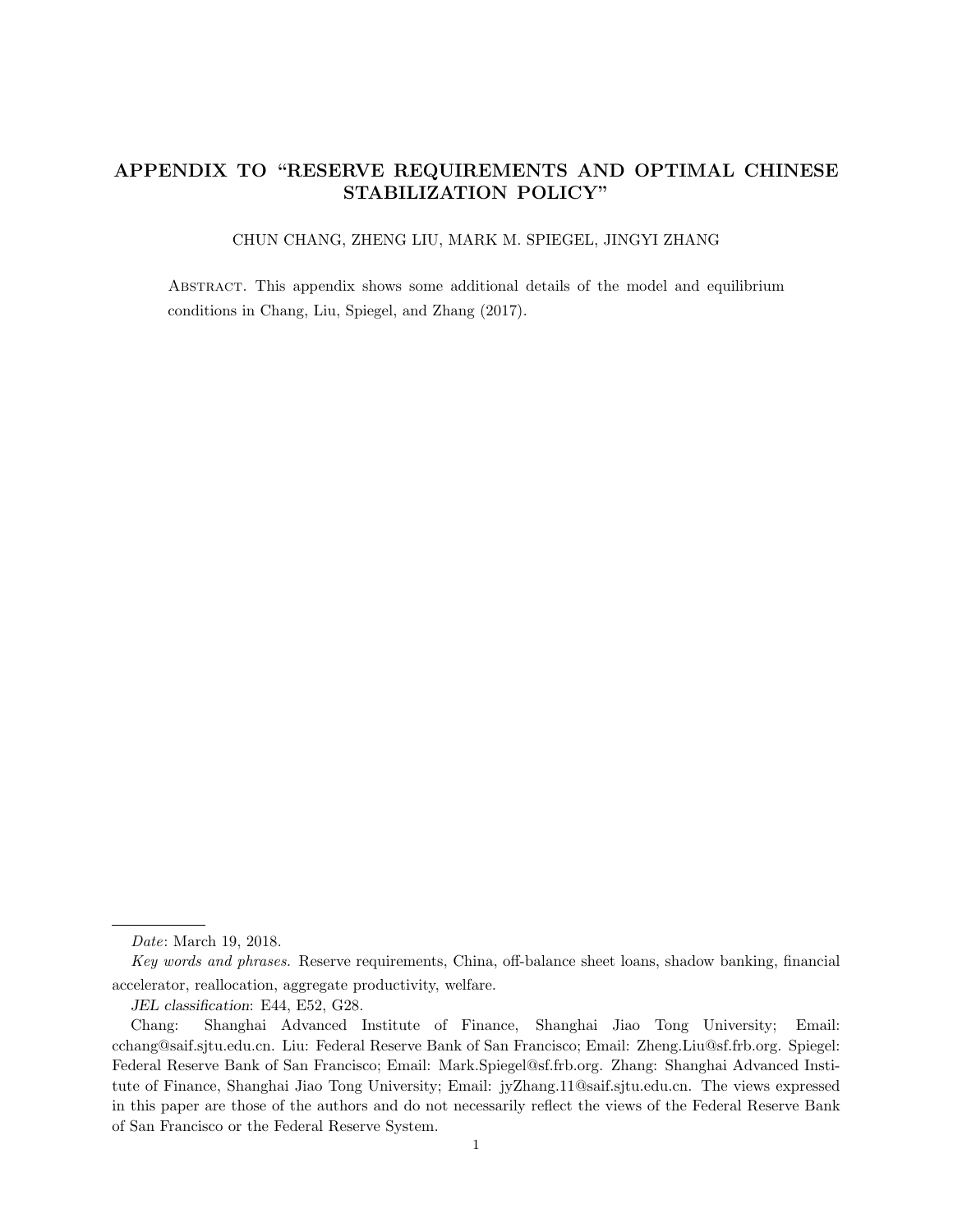# APPENDIX TO "RESERVE REQUIREMENTS AND OPTIMAL CHINESE STABILIZATION POLICY"

# CHUN CHANG, ZHENG LIU, MARK M. SPIEGEL, JINGYI ZHANG

Abstract. This appendix shows some additional details of the model and equilibrium conditions in Chang, Liu, Spiegel, and Zhang (2017).

Date: March 19, 2018.

Key words and phrases. Reserve requirements, China, off-balance sheet loans, shadow banking, financial accelerator, reallocation, aggregate productivity, welfare.

JEL classification: E44, E52, G28.

Chang: Shanghai Advanced Institute of Finance, Shanghai Jiao Tong University; Email: cchang@saif.sjtu.edu.cn. Liu: Federal Reserve Bank of San Francisco; Email: Zheng.Liu@sf.frb.org. Spiegel: Federal Reserve Bank of San Francisco; Email: Mark.Spiegel@sf.frb.org. Zhang: Shanghai Advanced Institute of Finance, Shanghai Jiao Tong University; Email: jyZhang.11@saif.sjtu.edu.cn. The views expressed in this paper are those of the authors and do not necessarily reflect the views of the Federal Reserve Bank of San Francisco or the Federal Reserve System.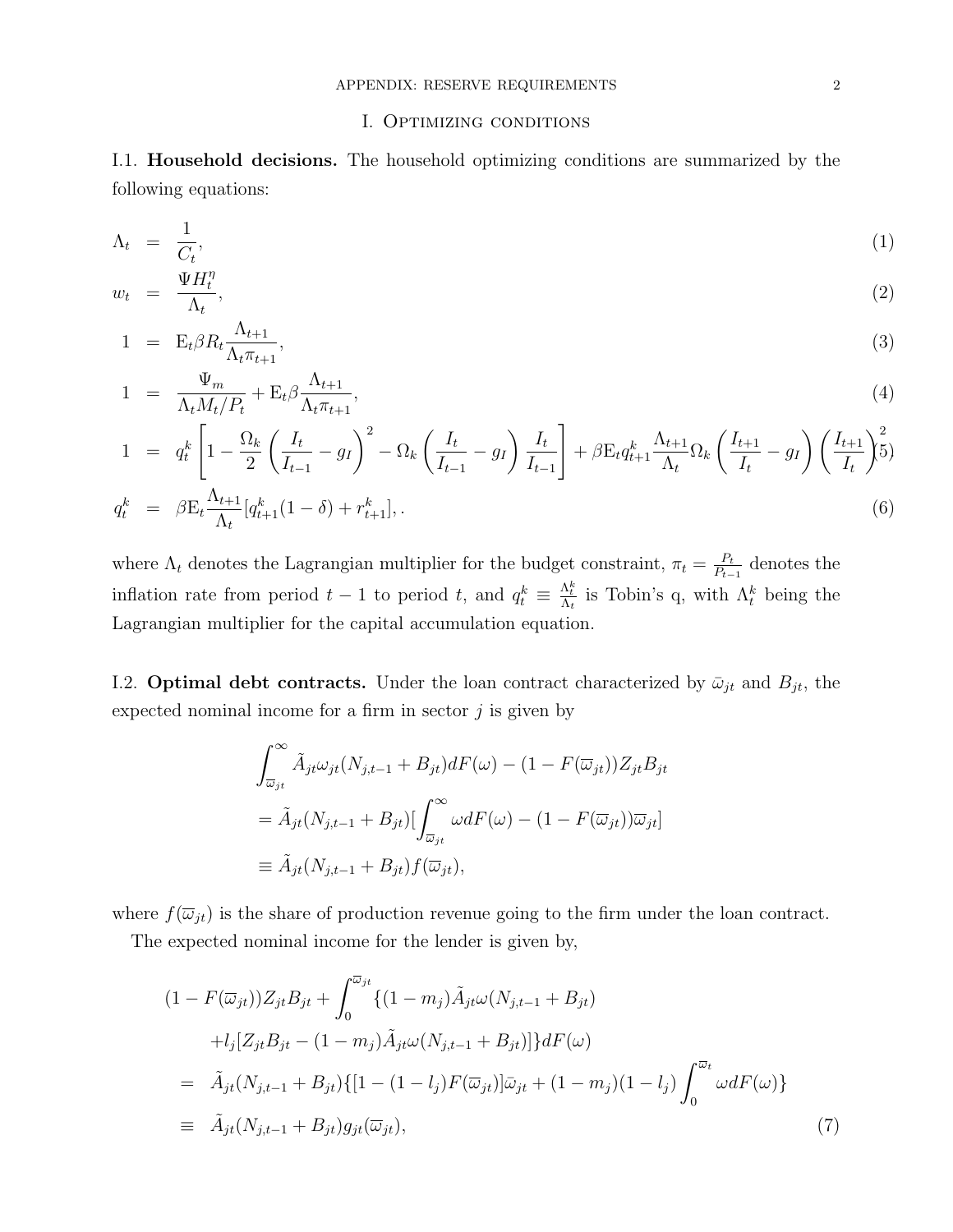# I. Optimizing conditions

I.1. Household decisions. The household optimizing conditions are summarized by the following equations:

$$
\Lambda_t = \frac{1}{C_t},\tag{1}
$$

$$
w_t = \frac{\Psi H_t^{\eta}}{\Lambda_t},\tag{2}
$$

$$
1 = \mathcal{E}_t \beta R_t \frac{\Lambda_{t+1}}{\Lambda_t \pi_{t+1}},\tag{3}
$$

$$
1 = \frac{\Psi_m}{\Lambda_t M_t / P_t} + \mathcal{E}_t \beta \frac{\Lambda_{t+1}}{\Lambda_t \pi_{t+1}},
$$
\n
$$
\tag{4}
$$

$$
1 = q_t^k \left[ 1 - \frac{\Omega_k}{2} \left( \frac{I_t}{I_{t-1}} - g_I \right)^2 - \Omega_k \left( \frac{I_t}{I_{t-1}} - g_I \right) \frac{I_t}{I_{t-1}} \right] + \beta E_t q_{t+1}^k \frac{\Lambda_{t+1}}{\Lambda_t} \Omega_k \left( \frac{I_{t+1}}{I_t} - g_I \right) \left( \frac{I_{t+1}}{I_t} \right)^2
$$
\n
$$
q_t^k = \beta E_t \frac{\Lambda_{t+1}}{\Lambda_t} [q_{t+1}^k (1 - \delta) + r_{t+1}^k], \tag{6}
$$

where  $\Lambda_t$  denotes the Lagrangian multiplier for the budget constraint,  $\pi_t = \frac{P_t}{P_t}$  $\frac{P_t}{P_{t-1}}$  denotes the inflation rate from period  $t-1$  to period t, and  $q_t^k \equiv \frac{\Lambda_t^k}{\Lambda_t}$  is Tobin's q, with  $\Lambda_t^k$  being the Lagrangian multiplier for the capital accumulation equation.

I.2. **Optimal debt contracts.** Under the loan contract characterized by  $\bar{\omega}_{jt}$  and  $B_{jt}$ , the expected nominal income for a firm in sector  $j$  is given by

$$
\int_{\overline{\omega}_{jt}}^{\infty} \tilde{A}_{jt} \omega_{jt} (N_{j,t-1} + B_{jt}) dF(\omega) - (1 - F(\overline{\omega}_{jt})) Z_{jt} B_{jt}
$$
  
=  $\tilde{A}_{jt} (N_{j,t-1} + B_{jt}) [\int_{\overline{\omega}_{jt}}^{\infty} \omega dF(\omega) - (1 - F(\overline{\omega}_{jt})) \overline{\omega}_{jt}]$   
\equiv  $\tilde{A}_{jt} (N_{j,t-1} + B_{jt}) f(\overline{\omega}_{jt}),$ 

where  $f(\overline{\omega}_{jt})$  is the share of production revenue going to the firm under the loan contract.

The expected nominal income for the lender is given by,

$$
(1 - F(\overline{\omega}_{jt}))Z_{jt}B_{jt} + \int_0^{\overline{\omega}_{jt}} \{(1 - m_j)\tilde{A}_{jt}\omega(N_{j,t-1} + B_{jt})
$$
  
+  $l_j[Z_{jt}B_{jt} - (1 - m_j)\tilde{A}_{jt}\omega(N_{j,t-1} + B_{jt})]\}dF(\omega)$   
=  $\tilde{A}_{jt}(N_{j,t-1} + B_{jt})\{[1 - (1 - l_j)F(\overline{\omega}_{jt})]\overline{\omega}_{jt} + (1 - m_j)(1 - l_j)\int_0^{\overline{\omega}_t} \omega dF(\omega)\}$   
\equiv  $\tilde{A}_{jt}(N_{j,t-1} + B_{jt})g_{jt}(\overline{\omega}_{jt}),$  (7)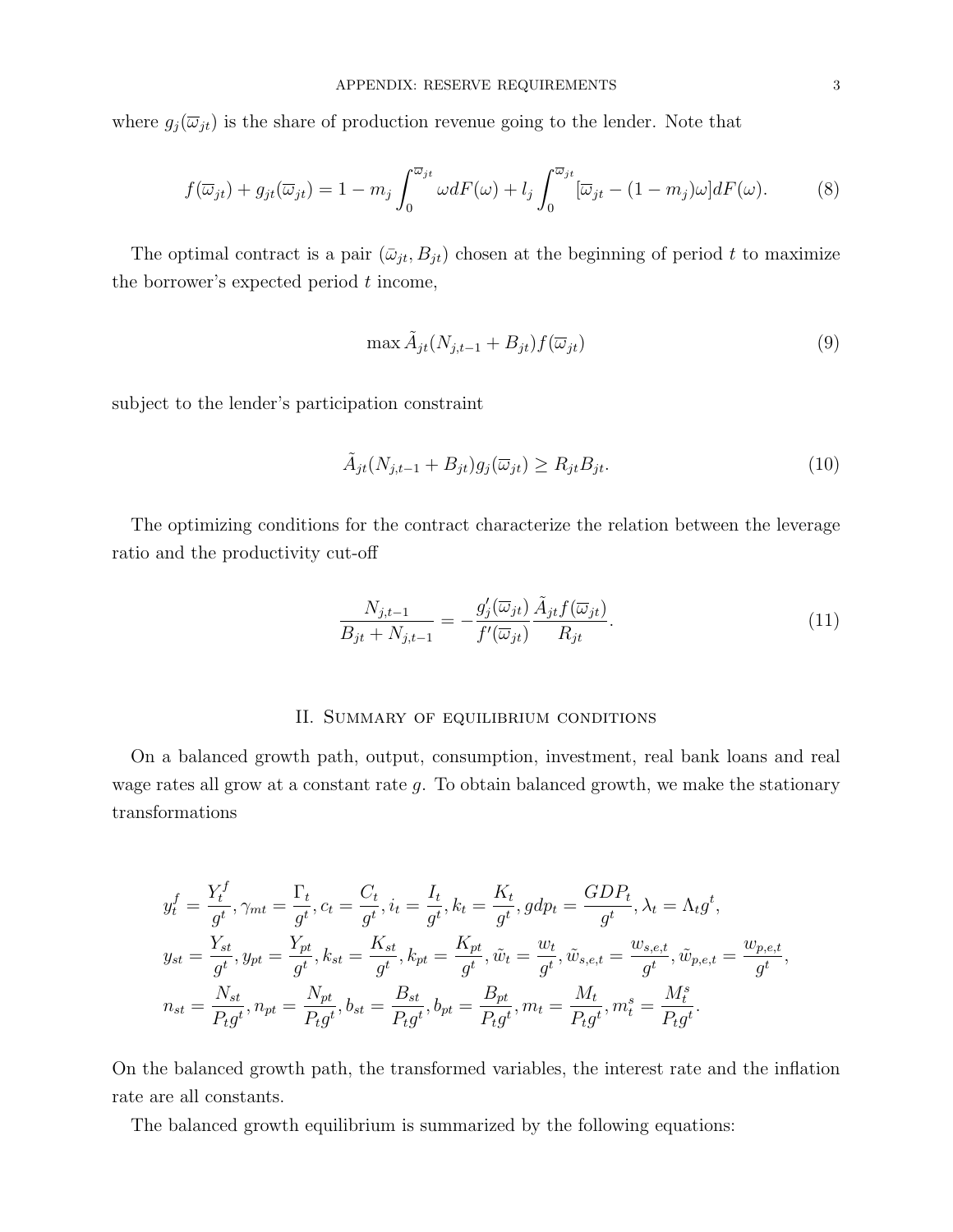where  $g_j(\overline{\omega}_{jt})$  is the share of production revenue going to the lender. Note that

$$
f(\overline{\omega}_{jt}) + g_{jt}(\overline{\omega}_{jt}) = 1 - m_j \int_0^{\overline{\omega}_{jt}} \omega dF(\omega) + l_j \int_0^{\overline{\omega}_{jt}} [\overline{\omega}_{jt} - (1 - m_j)\omega] dF(\omega).
$$
 (8)

The optimal contract is a pair  $(\bar{\omega}_{jt}, B_{jt})$  chosen at the beginning of period t to maximize the borrower's expected period  $t$  income,

$$
\max \tilde{A}_{jt}(N_{j,t-1} + B_{jt}) f(\overline{\omega}_{jt})
$$
\n(9)

subject to the lender's participation constraint

$$
\tilde{A}_{jt}(N_{j,t-1} + B_{jt})g_j(\overline{\omega}_{jt}) \ge R_{jt}B_{jt}.
$$
\n(10)

The optimizing conditions for the contract characterize the relation between the leverage ratio and the productivity cut-off

$$
\frac{N_{j,t-1}}{B_{jt} + N_{j,t-1}} = -\frac{g_j'(\overline{\omega}_{jt})}{f'(\overline{\omega}_{jt})} \frac{\tilde{A}_{jt} f(\overline{\omega}_{jt})}{R_{jt}}.
$$
\n(11)

#### II. Summary of equilibrium conditions

On a balanced growth path, output, consumption, investment, real bank loans and real wage rates all grow at a constant rate g. To obtain balanced growth, we make the stationary transformations

$$
y_t^f = \frac{Y_t^f}{g^t}, \gamma_{mt} = \frac{\Gamma_t}{g^t}, c_t = \frac{C_t}{g^t}, i_t = \frac{I_t}{g^t}, k_t = \frac{K_t}{g^t}, gdp_t = \frac{GDP_t}{g^t}, \lambda_t = \Lambda_t g^t,
$$
  
\n
$$
y_{st} = \frac{Y_{st}}{g^t}, y_{pt} = \frac{Y_{pt}}{g^t}, k_{st} = \frac{K_{st}}{g^t}, k_{pt} = \frac{K_{pt}}{g^t}, \tilde{w}_t = \frac{w_t}{g^t}, \tilde{w}_{s,e,t} = \frac{w_{s,e,t}}{g^t}, \tilde{w}_{p,e,t} = \frac{w_{p,e,t}}{g^t},
$$
  
\n
$$
n_{st} = \frac{N_{st}}{P_t g^t}, n_{pt} = \frac{N_{pt}}{P_t g^t}, b_{st} = \frac{B_{st}}{P_t g^t}, b_{pt} = \frac{B_{pt}}{P_t g^t}, m_t = \frac{M_t}{P_t g^t}, m_t^s = \frac{M_t^s}{P_t g^t}.
$$

On the balanced growth path, the transformed variables, the interest rate and the inflation rate are all constants.

The balanced growth equilibrium is summarized by the following equations: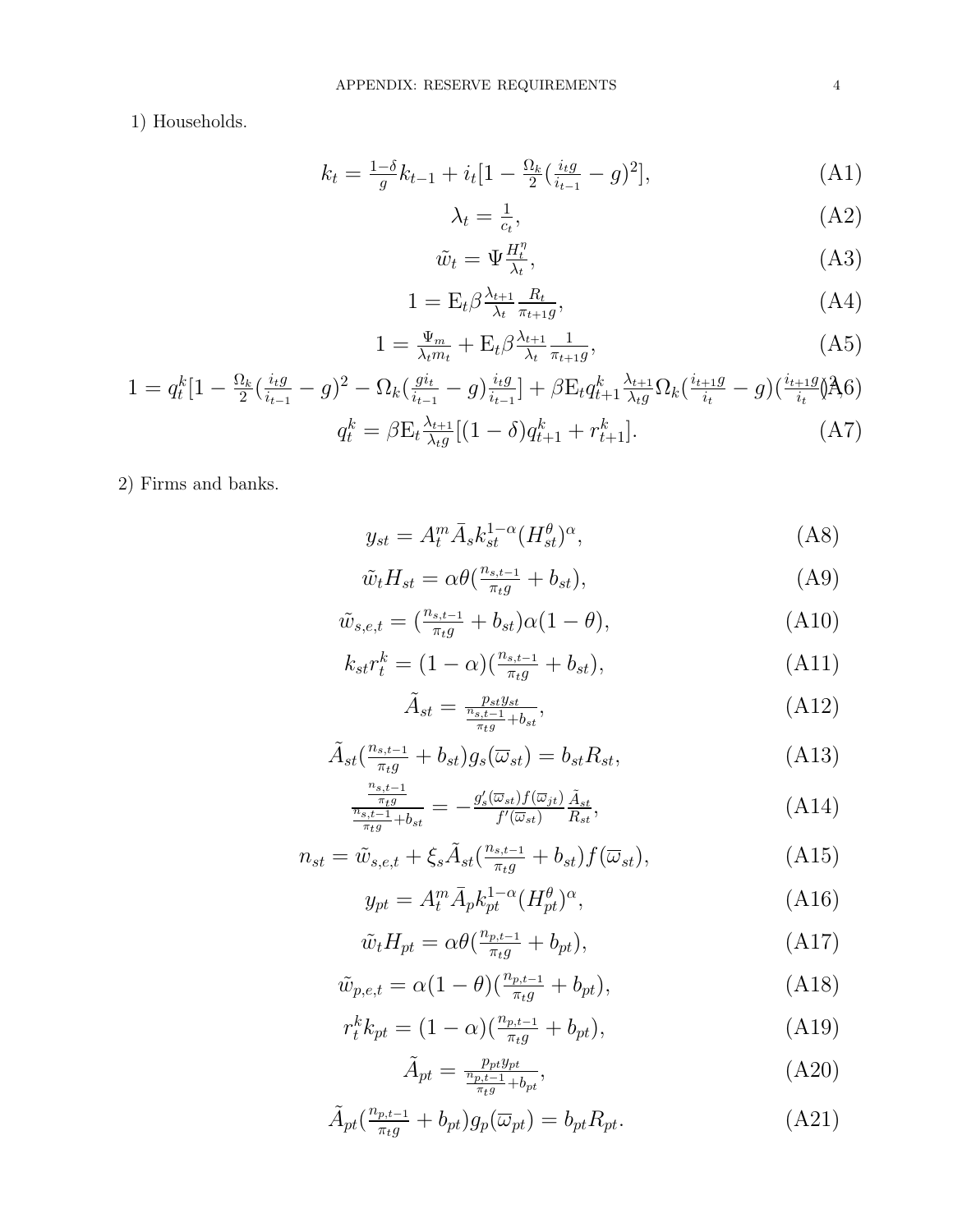1) Households.

$$
k_t = \frac{1-\delta}{g}k_{t-1} + i_t[1 - \frac{\Omega_k}{2}(\frac{i_t g}{i_{t-1}} - g)^2],\tag{A1}
$$

$$
\lambda_t = \frac{1}{c_t},\tag{A2}
$$

$$
\tilde{w}_t = \Psi_{\lambda_t}^{H_t^n},\tag{A3}
$$

$$
1 = \mathcal{E}_t \beta \frac{\lambda_{t+1}}{\lambda_t} \frac{R_t}{\pi_{t+1} g},\tag{A4}
$$

$$
1 = \frac{\Psi_m}{\lambda_t m_t} + \mathcal{E}_t \beta \frac{\lambda_{t+1}}{\lambda_t} \frac{1}{\pi_{t+1} g},\tag{A5}
$$

$$
1 = q_t^k \left[ 1 - \frac{\Omega_k}{2} \left( \frac{i_t g}{i_{t-1}} - g \right)^2 - \Omega_k \left( \frac{g i_t}{i_{t-1}} - g \right) \frac{i_t g}{i_{t-1}} \right] + \beta E_t q_{t+1}^k \frac{\lambda_{t+1}}{\lambda_t g} \Omega_k \left( \frac{i_{t+1} g}{i_t} - g \right) \left( \frac{i_{t+1} g}{i_t} \right) A_0
$$
\n
$$
q_t^k = \beta E_t \frac{\lambda_{t+1}}{\lambda_t g} \left[ (1 - \delta) q_{t+1}^k + r_{t+1}^k \right]. \tag{A7}
$$

2) Firms and banks.

$$
y_{st} = A_t^m \bar{A}_s k_{st}^{1-\alpha} (H_{st}^\theta)^\alpha, \tag{A8}
$$

$$
\tilde{w}_t H_{st} = \alpha \theta \left( \frac{n_{s,t-1}}{\pi_t g} + b_{st} \right),\tag{A9}
$$

$$
\tilde{w}_{s,e,t} = \left(\frac{n_{s,t-1}}{\pi_t g} + b_{st}\right) \alpha (1 - \theta),\tag{A10}
$$

$$
k_{st}r_t^k = (1 - \alpha)\left(\frac{n_{s,t-1}}{\pi_t g} + b_{st}\right),\tag{A11}
$$

$$
\tilde{A}_{st} = \frac{p_{st}y_{st}}{\frac{n_{st}-1}{\pi_{t}g} + b_{st}},\tag{A12}
$$

$$
\tilde{A}_{st}(\frac{n_{s,t-1}}{\pi_{t}g} + b_{st})g_s(\overline{\omega}_{st}) = b_{st}R_{st},
$$
\n(A13)

$$
\frac{\frac{n_{s,t-1}}{\pi_{t}g}}{\frac{n_{s,t-1}}{\pi_{t}g} + b_{st}} = -\frac{g'_s(\overline{\omega}_{st})f(\overline{\omega}_{jt})}{f'(\overline{\omega}_{st})} \frac{\tilde{A}_{st}}{R_{st}},\tag{A14}
$$

$$
n_{st} = \tilde{w}_{s,e,t} + \xi_s \tilde{A}_{st} \left( \frac{n_{s,t-1}}{\pi_t g} + b_{st} \right) f(\overline{\omega}_{st}), \tag{A15}
$$

$$
y_{pt} = A_t^m \bar{A}_p k_{pt}^{1-\alpha} (H_{pt}^{\theta})^{\alpha}, \tag{A16}
$$

$$
\tilde{w}_t H_{pt} = \alpha \theta \left( \frac{n_{p,t-1}}{\pi_t g} + b_{pt} \right),\tag{A17}
$$

$$
\tilde{w}_{p,e,t} = \alpha (1 - \theta) \left( \frac{n_{p,t-1}}{\pi_t g} + b_{pt} \right),\tag{A18}
$$

$$
r_t^k k_{pt} = (1 - \alpha) \left( \frac{n_{p,t-1}}{\pi_t g} + b_{pt} \right), \tag{A19}
$$

$$
\tilde{A}_{pt} = \frac{p_{pt}y_{pt}}{\frac{n_{p,t-1}}{\pi_{t}g} + b_{pt}},\tag{A20}
$$

$$
\tilde{A}_{pt}(\frac{n_{p,t-1}}{\pi_{t}g} + b_{pt})g_p(\overline{\omega}_{pt}) = b_{pt}R_{pt}.
$$
\n(A21)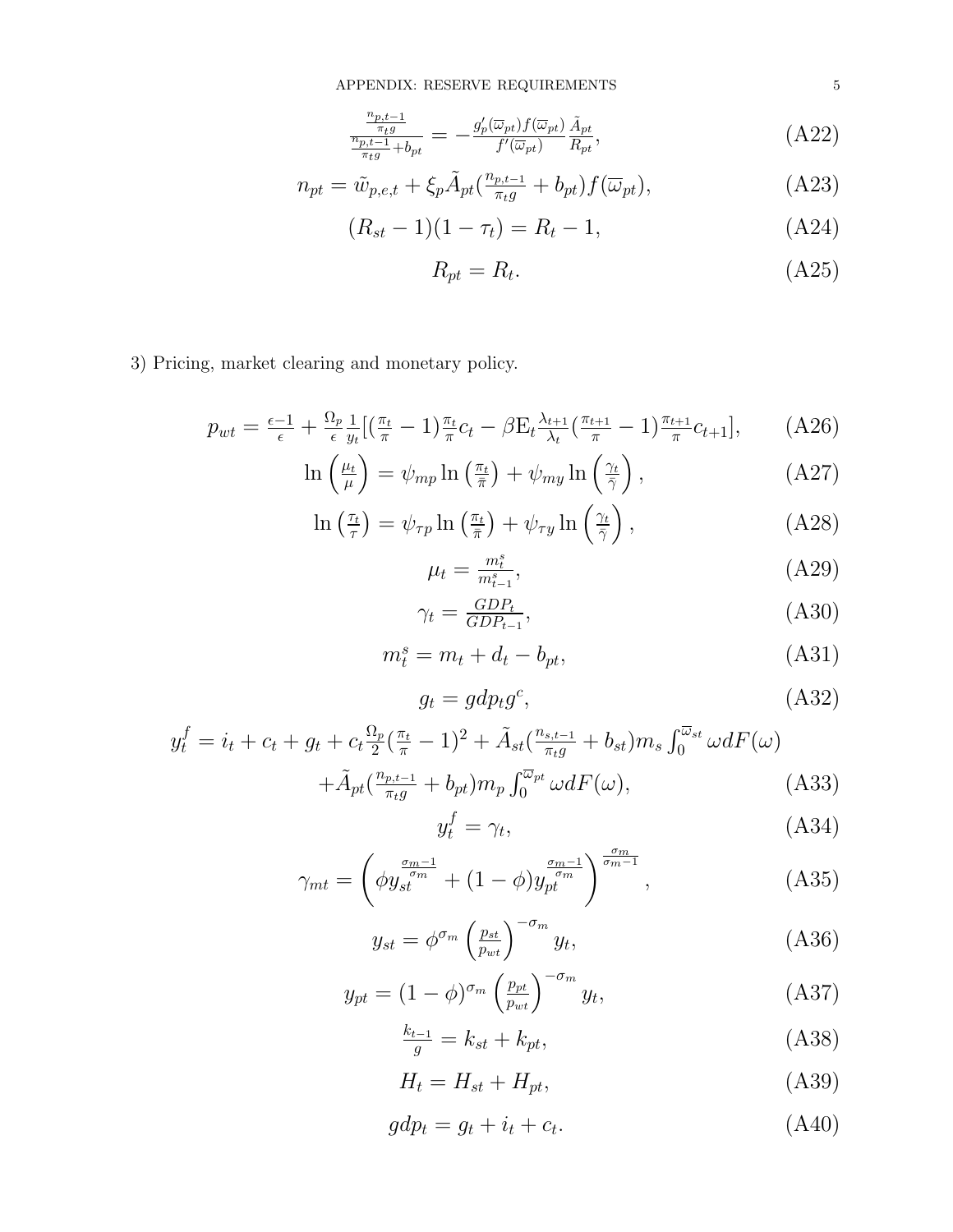$$
\frac{\frac{n_{p,t-1}}{\pi_{t}g}}{\frac{n_{p,t-1}}{\pi_{t}g} + b_{pt}} = -\frac{g_p'(\overline{\omega}_{pt})f(\overline{\omega}_{pt})}{f'(\overline{\omega}_{pt})}\frac{\tilde{A}_{pt}}{R_{pt}},\tag{A22}
$$

$$
n_{pt} = \tilde{w}_{p,e,t} + \xi_p \tilde{A}_{pt} \left( \frac{n_{p,t-1}}{\pi_t g} + b_{pt} \right) f(\overline{\omega}_{pt}), \tag{A23}
$$

$$
(R_{st} - 1)(1 - \tau_t) = R_t - 1,
$$
\n(A24)

$$
R_{pt} = R_t. \tag{A25}
$$

3) Pricing, market clearing and monetary policy.

$$
p_{wt} = \frac{\epsilon - 1}{\epsilon} + \frac{\Omega_p}{\epsilon} \frac{1}{y_t} \left[ \left( \frac{\pi_t}{\pi} - 1 \right) \frac{\pi_t}{\pi} c_t - \beta E_t \frac{\lambda_{t+1}}{\lambda_t} \left( \frac{\pi_{t+1}}{\pi} - 1 \right) \frac{\pi_{t+1}}{\pi} c_{t+1} \right],\tag{A26}
$$

$$
\ln\left(\frac{\mu_t}{\mu}\right) = \psi_{mp} \ln\left(\frac{\pi_t}{\bar{\pi}}\right) + \psi_{my} \ln\left(\frac{\gamma_t}{\bar{\gamma}}\right),\tag{A27}
$$

$$
\ln\left(\frac{\tau_t}{\tau}\right) = \psi_{\tau p} \ln\left(\frac{\pi_t}{\bar{\pi}}\right) + \psi_{\tau y} \ln\left(\frac{\gamma_t}{\bar{\gamma}}\right),\tag{A28}
$$

$$
\mu_t = \frac{m_{t-1}^s}{m_{t-1}^s},\tag{A29}
$$

$$
\gamma_t = \frac{GDP_t}{GDP_{t-1}},\tag{A30}
$$

$$
m_t^s = m_t + d_t - b_{pt}, \tag{A31}
$$

$$
g_t = gdp_t g^c,\tag{A32}
$$

$$
y_t^f = i_t + c_t + g_t + c_t \frac{\Omega_p}{2} (\frac{\pi_t}{\pi} - 1)^2 + \tilde{A}_{st} (\frac{n_{s,t-1}}{\pi_t g} + b_{st}) m_s \int_0^{\overline{\omega}_{st}} \omega dF(\omega) + \tilde{A}_{pt} (\frac{n_{p,t-1}}{\pi_t g} + b_{pt}) m_p \int_0^{\overline{\omega}_{pt}} \omega dF(\omega),
$$
(A33)

$$
y_t^f = \gamma_t,\tag{A34}
$$

$$
\gamma_{mt} = \left(\phi y_{st}^{\frac{\sigma_m - 1}{\sigma_m}} + (1 - \phi) y_{pt}^{\frac{\sigma_m - 1}{\sigma_m}}\right)^{\frac{\sigma_m}{\sigma_m - 1}},\tag{A35}
$$

$$
y_{st} = \phi^{\sigma_m} \left(\frac{p_{st}}{p_{wt}}\right)^{-\sigma_m} y_t,
$$
\n(A36)

$$
y_{pt} = (1 - \phi)^{\sigma_m} \left(\frac{p_{pt}}{p_{wt}}\right)^{-\sigma_m} y_t,\tag{A37}
$$

$$
\frac{k_{t-1}}{g} = k_{st} + k_{pt},\tag{A38}
$$

$$
H_t = H_{st} + H_{pt},\tag{A39}
$$

$$
gdp_t = g_t + i_t + c_t. \tag{A40}
$$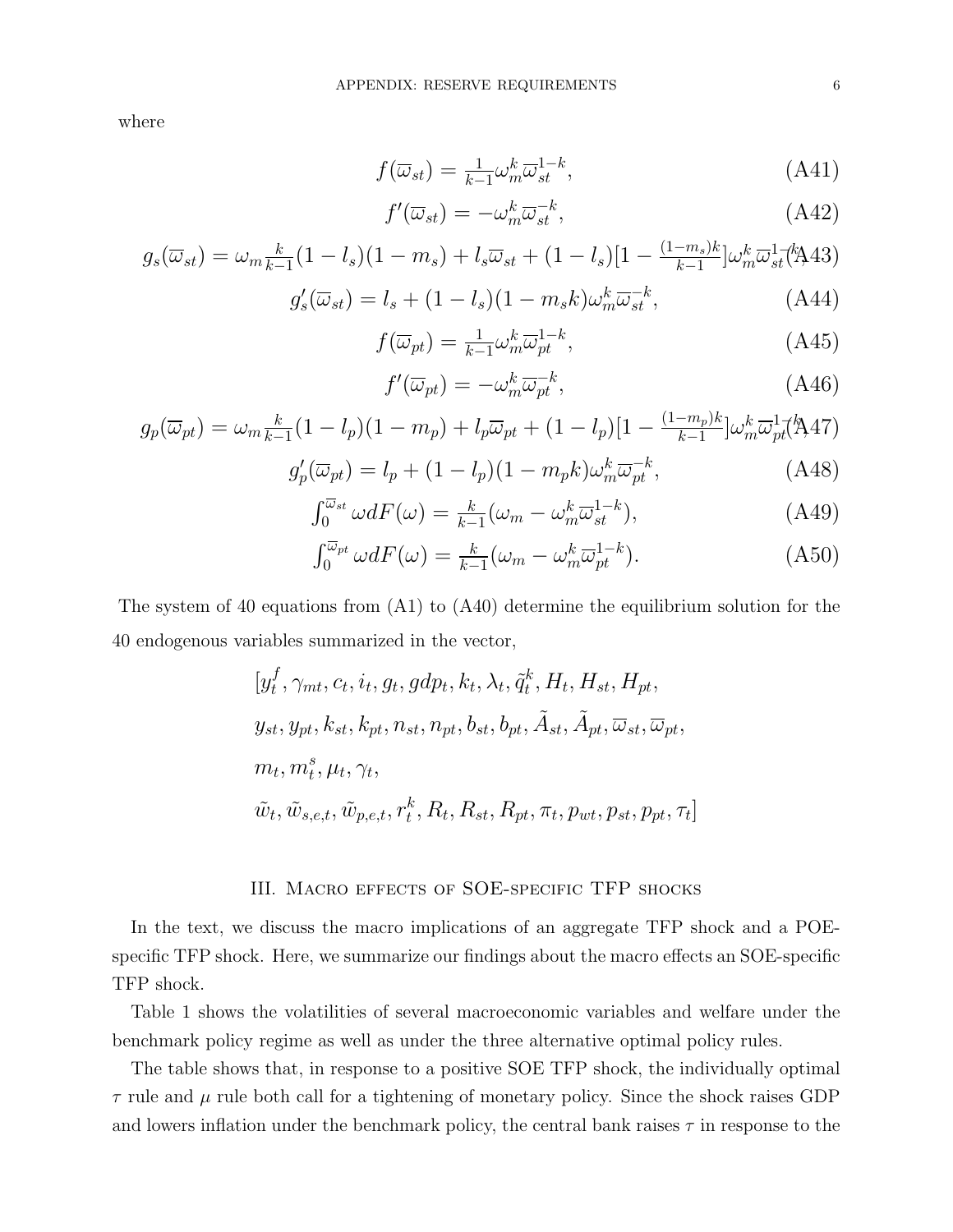where

$$
f(\overline{\omega}_{st}) = \frac{1}{k-1} \omega_m^k \overline{\omega}_{st}^{1-k}, \tag{A41}
$$

$$
f'(\overline{\omega}_{st}) = -\omega_m^k \overline{\omega}_{st}^{-k},\tag{A42}
$$

$$
g_s(\overline{\omega}_{st}) = \omega_m \frac{k}{k-1} (1 - l_s)(1 - m_s) + l_s \overline{\omega}_{st} + (1 - l_s)[1 - \frac{(1 - m_s)k}{k-1}] \omega_m^k \overline{\omega}_{st}^1(\mathbf{A}43)
$$

$$
g'_{s}(\overline{\omega}_{st}) = l_{s} + (1 - l_{s})(1 - m_{s}k)\omega_{m}^{k}\overline{\omega}_{st}^{-k}, \qquad (A44)
$$

$$
f(\overline{\omega}_{pt}) = \frac{1}{k-1} \omega_m^k \overline{\omega}_{pt}^{1-k},\tag{A45}
$$

$$
f'(\overline{\omega}_{pt}) = -\omega_m^k \overline{\omega}_{pt}^{-k},\tag{A46}
$$

$$
g_p(\overline{\omega}_{pt}) = \omega_m \frac{k}{k-1} (1 - l_p)(1 - m_p) + l_p \overline{\omega}_{pt} + (1 - l_p)[1 - \frac{(1 - m_p)k}{k-1}]\omega_m^k \overline{\omega}_{pt}^{1-\ell} (A47)
$$

$$
g_p'(\overline{\omega}_{pt}) = l_p + (1 - l_p)(1 - m_p k)\omega_m^k \overline{\omega}_{pt}^{-k}, \tag{A48}
$$

$$
g_p'(\overline{\omega}_{pt}) = l_p + (1 - l_p)(1 - m_p k)\omega_m^k \overline{\omega}_{pt}^{-k},
$$
\n(A48)

$$
\int_0^{\overline{\omega}_{st}} \omega dF(\omega) = \frac{k}{k-1} (\omega_m - \omega_m^k \overline{\omega}_{st}^{1-k}), \tag{A49}
$$

$$
\int_0^{\overline{\omega}_{pt}} \omega dF(\omega) = \frac{k}{k-1} (\omega_m - \omega_m^k \overline{\omega}_{pt}^{1-k}). \tag{A50}
$$

The system of 40 equations from (A1) to (A40) determine the equilibrium solution for the 40 endogenous variables summarized in the vector,

$$
[y_t^f, \gamma_{mt}, c_t, i_t, g_t, gdp_t, k_t, \lambda_t, \tilde{q}_t^k, H_t, H_{st}, H_{pt},
$$
  

$$
y_{st}, y_{pt}, k_{st}, k_{pt}, n_{st}, n_{pt}, b_{st}, b_{pt}, \tilde{A}_{st}, \tilde{A}_{pt}, \overline{\omega}_{st}, \overline{\omega}_{pt},
$$
  

$$
m_t, m_t^s, \mu_t, \gamma_t,
$$
  

$$
\tilde{w}_t, \tilde{w}_{s,e,t}, \tilde{w}_{p,e,t}, r_t^k, R_t, R_{st}, R_{pt}, \pi_t, p_{wt}, p_{st}, p_{pt}, \tau_t]
$$

# III. Macro effects of SOE-specific TFP shocks

In the text, we discuss the macro implications of an aggregate TFP shock and a POEspecific TFP shock. Here, we summarize our findings about the macro effects an SOE-specific TFP shock.

Table 1 shows the volatilities of several macroeconomic variables and welfare under the benchmark policy regime as well as under the three alternative optimal policy rules.

The table shows that, in response to a positive SOE TFP shock, the individually optimal  $\tau$  rule and  $\mu$  rule both call for a tightening of monetary policy. Since the shock raises GDP and lowers inflation under the benchmark policy, the central bank raises  $\tau$  in response to the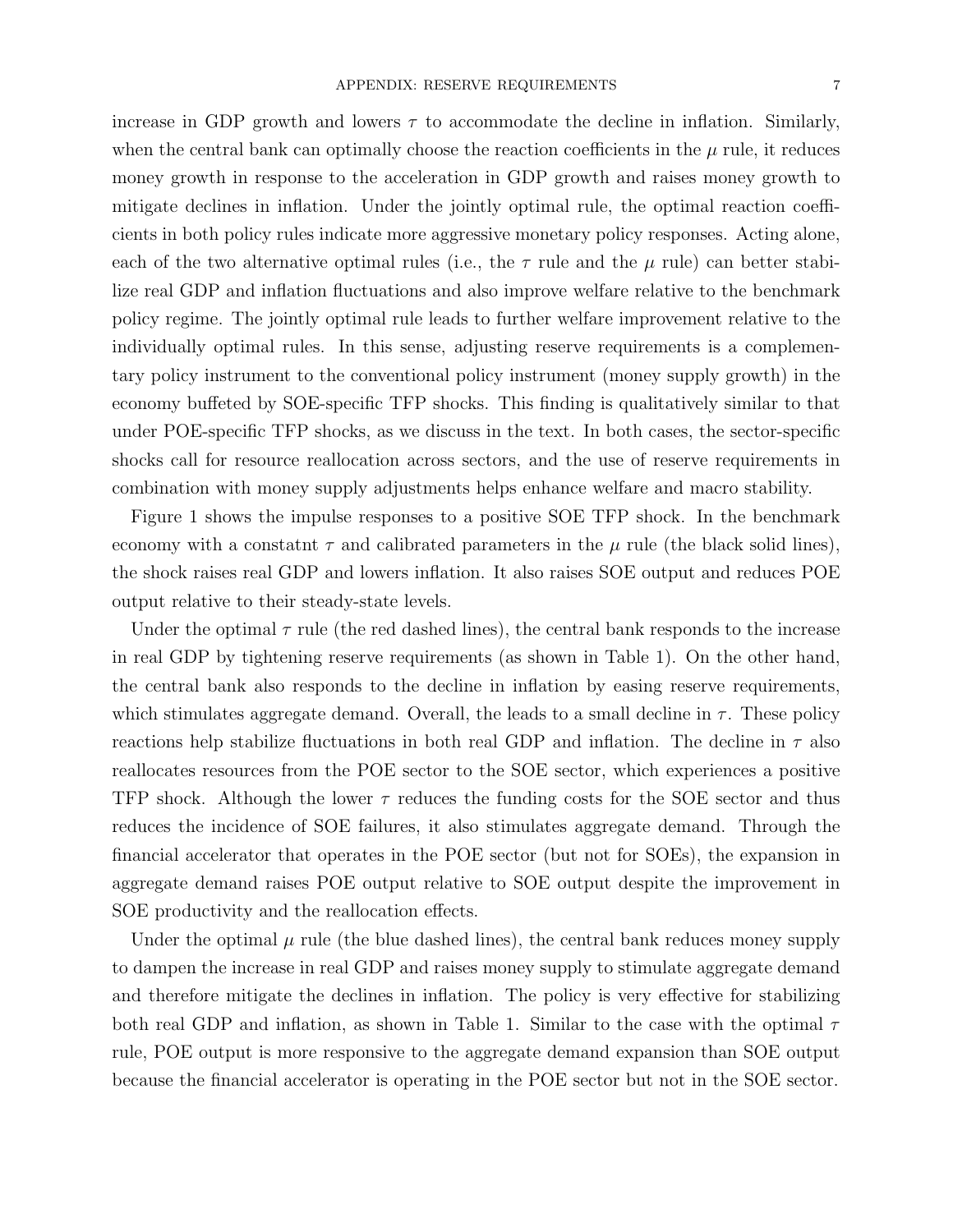increase in GDP growth and lowers  $\tau$  to accommodate the decline in inflation. Similarly, when the central bank can optimally choose the reaction coefficients in the  $\mu$  rule, it reduces money growth in response to the acceleration in GDP growth and raises money growth to mitigate declines in inflation. Under the jointly optimal rule, the optimal reaction coefficients in both policy rules indicate more aggressive monetary policy responses. Acting alone, each of the two alternative optimal rules (i.e., the  $\tau$  rule and the  $\mu$  rule) can better stabilize real GDP and inflation fluctuations and also improve welfare relative to the benchmark policy regime. The jointly optimal rule leads to further welfare improvement relative to the individually optimal rules. In this sense, adjusting reserve requirements is a complementary policy instrument to the conventional policy instrument (money supply growth) in the economy buffeted by SOE-specific TFP shocks. This finding is qualitatively similar to that under POE-specific TFP shocks, as we discuss in the text. In both cases, the sector-specific shocks call for resource reallocation across sectors, and the use of reserve requirements in combination with money supply adjustments helps enhance welfare and macro stability.

Figure 1 shows the impulse responses to a positive SOE TFP shock. In the benchmark economy with a constatint  $\tau$  and calibrated parameters in the  $\mu$  rule (the black solid lines), the shock raises real GDP and lowers inflation. It also raises SOE output and reduces POE output relative to their steady-state levels.

Under the optimal  $\tau$  rule (the red dashed lines), the central bank responds to the increase in real GDP by tightening reserve requirements (as shown in Table 1). On the other hand, the central bank also responds to the decline in inflation by easing reserve requirements, which stimulates aggregate demand. Overall, the leads to a small decline in  $\tau$ . These policy reactions help stabilize fluctuations in both real GDP and inflation. The decline in  $\tau$  also reallocates resources from the POE sector to the SOE sector, which experiences a positive TFP shock. Although the lower  $\tau$  reduces the funding costs for the SOE sector and thus reduces the incidence of SOE failures, it also stimulates aggregate demand. Through the financial accelerator that operates in the POE sector (but not for SOEs), the expansion in aggregate demand raises POE output relative to SOE output despite the improvement in SOE productivity and the reallocation effects.

Under the optimal  $\mu$  rule (the blue dashed lines), the central bank reduces money supply to dampen the increase in real GDP and raises money supply to stimulate aggregate demand and therefore mitigate the declines in inflation. The policy is very effective for stabilizing both real GDP and inflation, as shown in Table 1. Similar to the case with the optimal  $\tau$ rule, POE output is more responsive to the aggregate demand expansion than SOE output because the financial accelerator is operating in the POE sector but not in the SOE sector.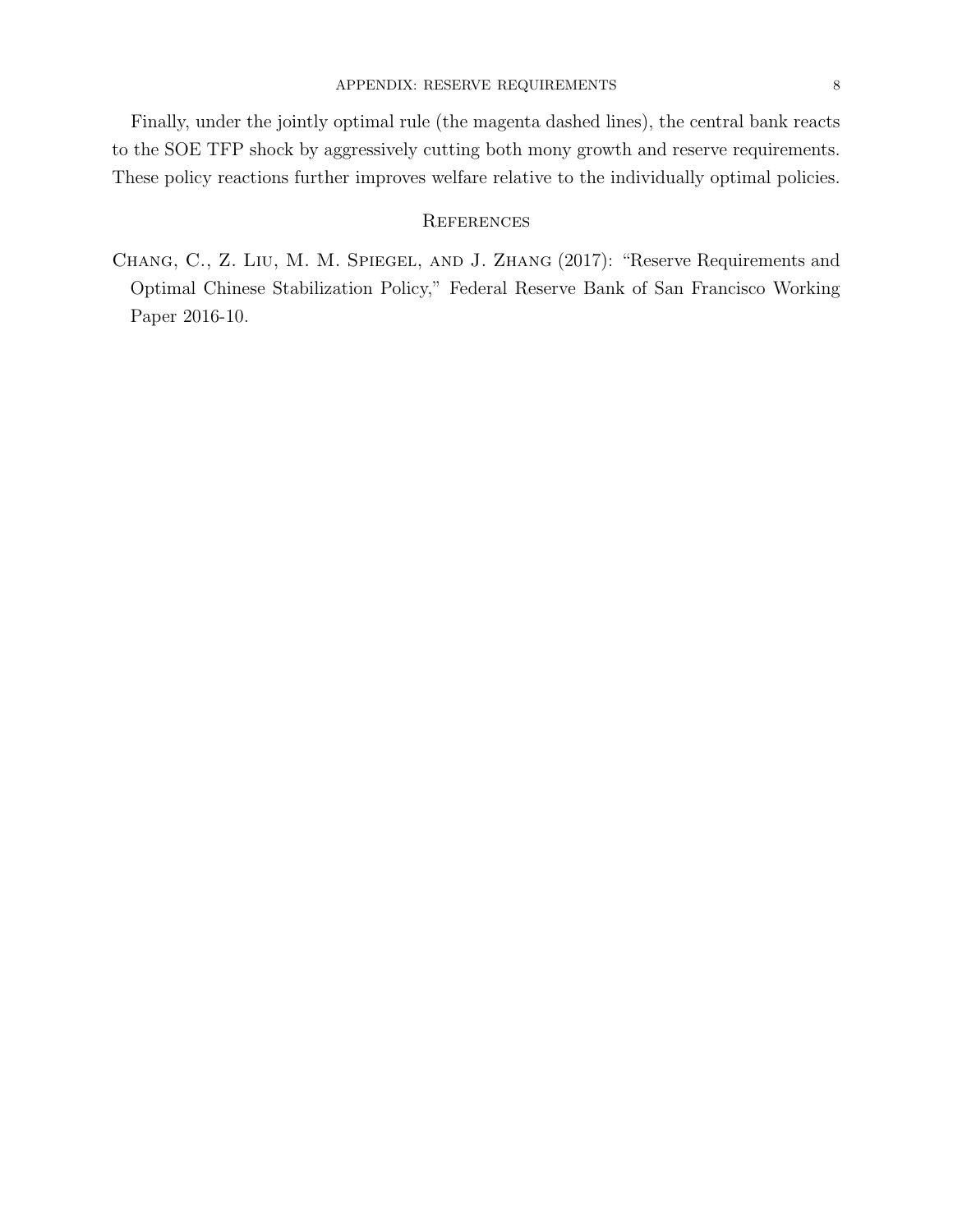Finally, under the jointly optimal rule (the magenta dashed lines), the central bank reacts to the SOE TFP shock by aggressively cutting both mony growth and reserve requirements. These policy reactions further improves welfare relative to the individually optimal policies.

# **REFERENCES**

Chang, C., Z. Liu, M. M. Spiegel, and J. Zhang (2017): "Reserve Requirements and Optimal Chinese Stabilization Policy," Federal Reserve Bank of San Francisco Working Paper 2016-10.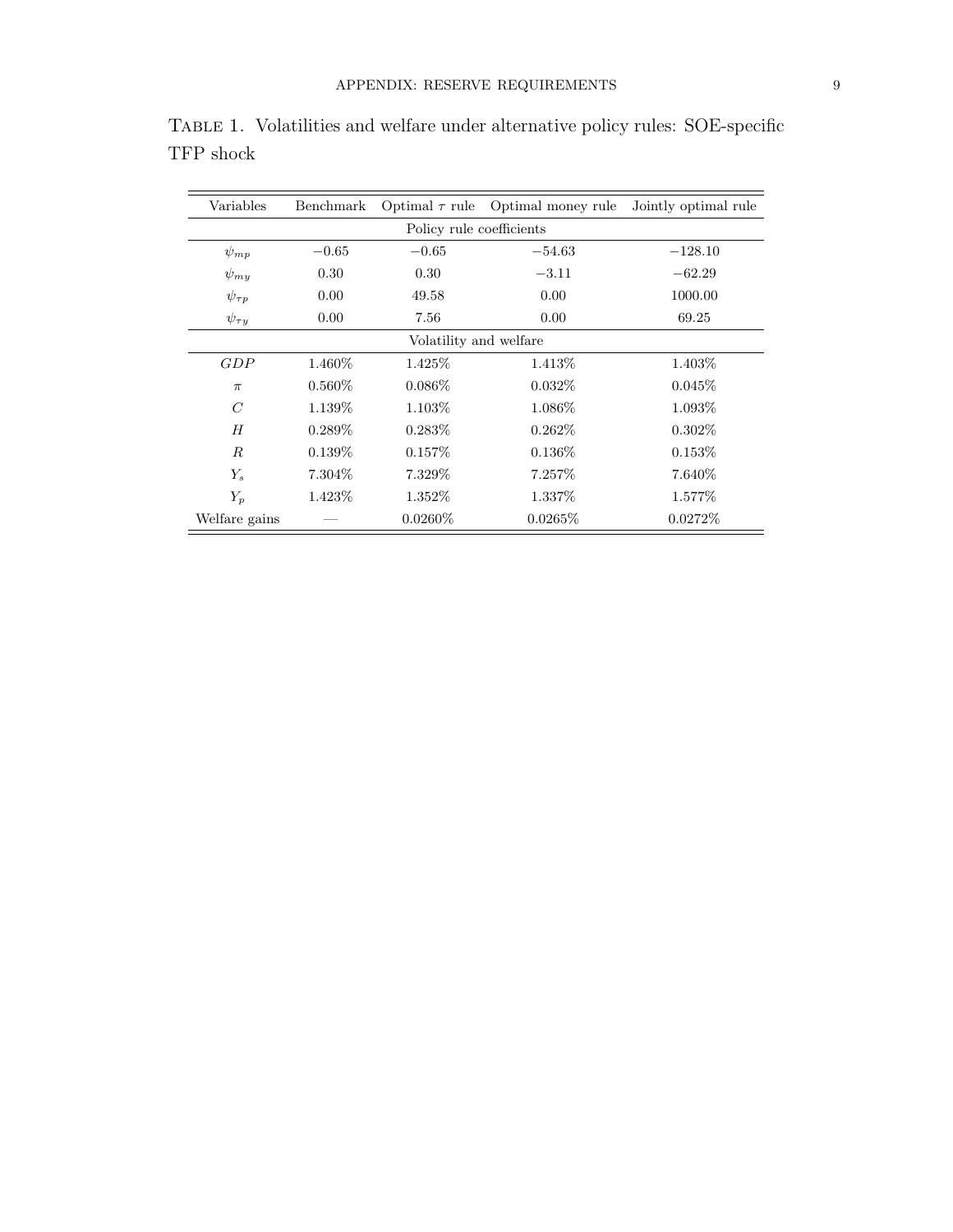| Variables                | Benchmark | Optimal $\tau$ rule | Optimal money rule | Jointly optimal rule |
|--------------------------|-----------|---------------------|--------------------|----------------------|
| Policy rule coefficients |           |                     |                    |                      |
| $\psi_{mp}$              | $-0.65$   | $-0.65$             | $-54.63$           | $-128.10$            |
| $\psi_{mu}$              | 0.30      | 0.30                | $-3.11$            | $-62.29$             |
| $\psi_{\tau p}$          | 0.00      | 49.58               | 0.00               | 1000.00              |
| $\psi_{\tau y}$          | 0.00      | 7.56                | 0.00               | 69.25                |
| Volatility and welfare   |           |                     |                    |                      |
| GDP                      | 1.460\%   | 1.425\%             | 1.413\%            | 1.403\%              |
| $\pi$                    | $0.560\%$ | $0.086\%$           | $0.032\%$          | $0.045\%$            |
| $\,C$                    | 1.139\%   | 1.103\%             | 1.086\%            | 1.093\%              |
| H                        | $0.289\%$ | $0.283\%$           | $0.262\%$          | $0.302\%$            |
| R                        | $0.139\%$ | $0.157\%$           | $0.136\%$          | 0.153%               |
| $Y_s$                    | 7.304\%   | 7.329\%             | 7.257\%            | 7.640\%              |
| $Y_p$                    | 1.423\%   | 1.352\%             | 1.337\%            | 1.577\%              |
| Welfare gains            |           | $0.0260\%$          | $0.0265\%$         | $0.0272\%$           |

Table 1. Volatilities and welfare under alternative policy rules: SOE-specific TFP shock